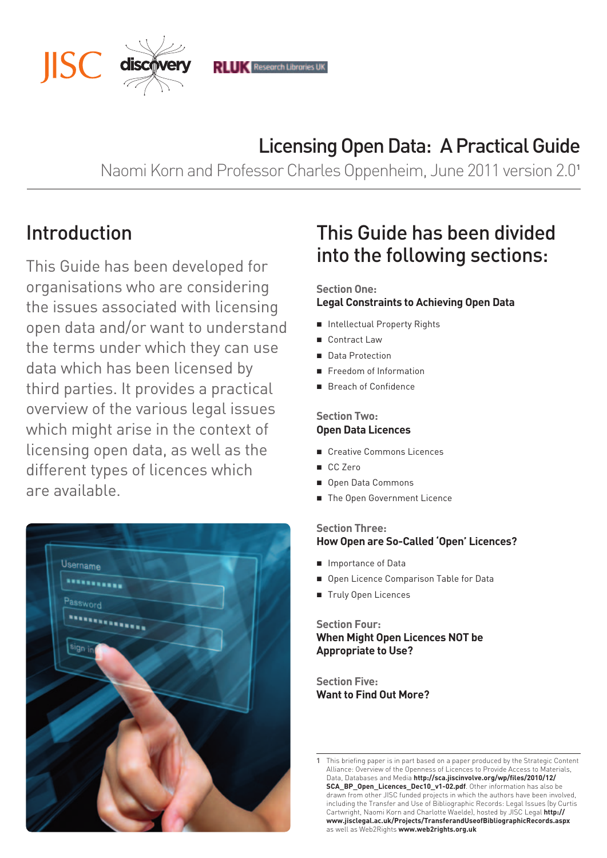

# Licensing Open Data: A Practical Guide

Naomi Korn and Professor Charles Oppenheim, June 2011 version 2.0**<sup>1</sup>**

# Introduction

This Guide has been developed for organisations who are considering the issues associated with licensing open data and/or want to understand the terms under which they can use data which has been licensed by third parties. It provides a practical overview of the various legal issues which might arise in the context of licensing open data, as well as the different types of licences which are available.



# This Guide has been divided into the following sections:

# **Section One: Legal Constraints to Achieving Open Data**

- Intellectual Property Rights
- Contract Law
- Data Protection
- Freedom of Information
- **Breach of Confidence**

## **Section Two: Open Data Licences**

- Creative Commons Licences
- CC Zero
- Open Data Commons
- The Open Government Licence

# **Section Three: How Open are So-Called 'Open' Licences?**

- **Importance of Data**
- Open Licence Comparison Table for Data
- Truly Open Licences

## **Section Four: When Might Open Licences NOT be Appropriate to Use?**

**Section Five: Want to Find Out More?**

**<sup>1</sup>** This briefing paper is in part based on a paper produced by the Strategic Content Alliance: Overview of the Openness of Licences to Provide Access to Materials, Data, Databases and Media **[http://sca.jiscinvolve.org/wp/files/2010/12/](http://sca.jiscinvolve.org/wp/files/2010/12/SCA_BP_Open_Licences_Dec10_v1-02.pdf) [SCA\\_BP\\_Open\\_Licences\\_Dec10\\_v1-02.pdf](http://sca.jiscinvolve.org/wp/files/2010/12/SCA_BP_Open_Licences_Dec10_v1-02.pdf)**. Other information has also be drawn from other JISC funded projects in which the authors have been involved, including the Transfer and Use of Bibliographic Records: Legal Issues (by Curtis Cartwright, Naomi Korn and Charlotte Waelde), hosted by JISC Legal **[http://](http://www.jisclegal.ac.uk/Projects/TransferandUseofBibliographicRecords.aspx) [www.jisclegal.ac.uk/Projects/TransferandUseofBibliographicRecords.aspx](http://www.jisclegal.ac.uk/Projects/TransferandUseofBibliographicRecords.aspx)** as well as Web2Rights **<www.web2rights.org.uk>**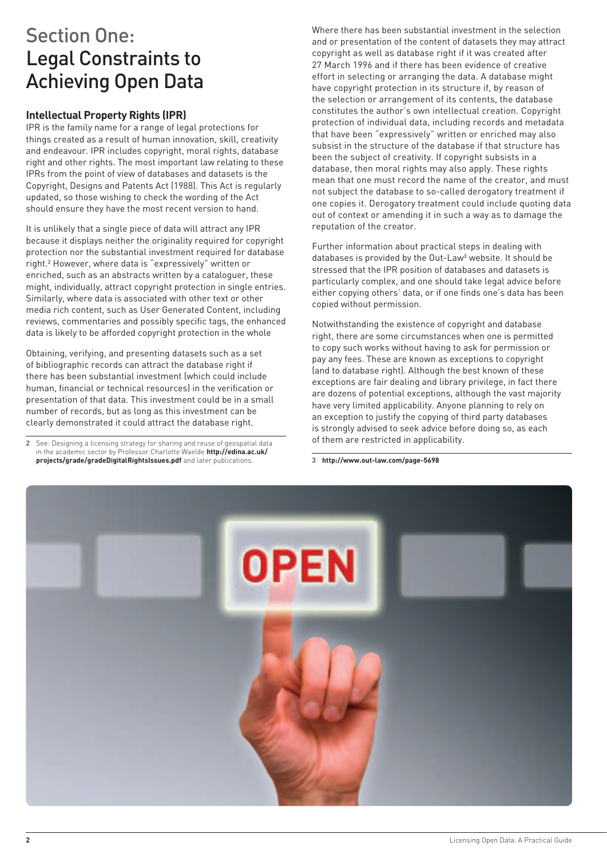# Section One: Legal Constraints to Achieving Open Data

## **Intellectual Property Rights (IPR)**

IPR is the family name for a range of legal protections for things created as a result of human innovation, skill, creativity and endeavour. IPR includes copyright, moral rights, database right and other rights. The most important law relating to these IPRs from the point of view of databases and datasets is the Copyright, Designs and Patents Act (1988). This Act is regularly updated, so those wishing to check the wording of the Act should ensure they have the most recent version to hand.

It is unlikely that a single piece of data will attract any IPR because it displays neither the originality required for copyright protection nor the substantial investment required for database right.**<sup>2</sup>** However, where data is "expressively" written or enriched, such as an abstracts written by a cataloguer, these might, individually, attract copyright protection in single entries. Similarly, where data is associated with other text or other media rich content, such as User Generated Content, including reviews, commentaries and possibly specific tags, the enhanced data is likely to be afforded copyright protection in the whole

Obtaining, verifying, and presenting datasets such as a set of bibliographic records can attract the database right if there has been substantial investment (which could include human, financial or technical resources) in the verification or presentation of that data. This investment could be in a small number of records, but as long as this investment can be clearly demonstrated it could attract the database right.

**2** See: Designing a licensing strategy for sharing and reuse of geospatial data in the academic sector by Professor Charlotte Waelde **[http://edina.ac.uk/](http://edina.ac.uk/projects/grade/gradeDigitalRightsIssues.pdf) [projects/grade/gradeDigitalRightsIssues.pdf](http://edina.ac.uk/projects/grade/gradeDigitalRightsIssues.pdf)** and later publications.

Where there has been substantial investment in the selection and or presentation of the content of datasets they may attract copyright as well as database right if it was created after 27 March 1996 and if there has been evidence of creative effort in selecting or arranging the data. A database might have copyright protection in its structure if, by reason of the selection or arrangement of its contents, the database constitutes the author's own intellectual creation. Copyright protection of individual data, including records and metadata that have been "expressively" written or enriched may also subsist in the structure of the database if that structure has been the subject of creativity. If copyright subsists in a database, then moral rights may also apply. These rights mean that one must record the name of the creator, and must not subject the database to so-called derogatory treatment if one copies it. Derogatory treatment could include quoting data out of context or amending it in such a way as to damage the reputation of the creator.

Further information about practical steps in dealing with databases is provided by the Out-Law**<sup>3</sup>** website. It should be stressed that the IPR position of databases and datasets is particularly complex, and one should take legal advice before either copying others' data, or if one finds one's data has been copied without permission.

Notwithstanding the existence of copyright and database right, there are some circumstances when one is permitted to copy such works without having to ask for permission or pay any fees. These are known as exceptions to copyright (and to database right). Although the best known of these exceptions are fair dealing and library privilege, in fact there are dozens of potential exceptions, although the vast majority have very limited applicability. Anyone planning to rely on an exception to justify the copying of third party databases is strongly advised to seek advice before doing so, as each of them are restricted in applicability.

**<sup>3</sup> <http://www.out-law.com/page-5698>**

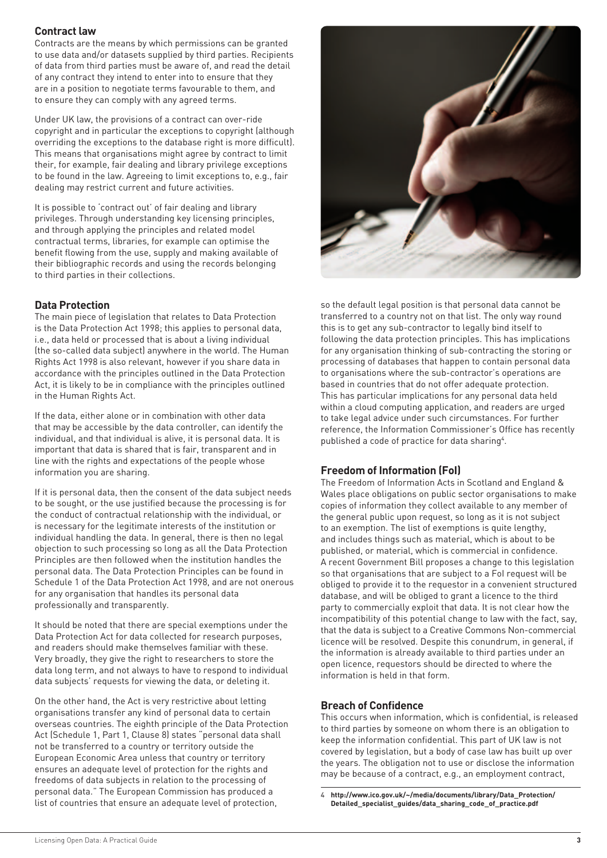### **Contract law**

Contracts are the means by which permissions can be granted to use data and/or datasets supplied by third parties. Recipients of data from third parties must be aware of, and read the detail of any contract they intend to enter into to ensure that they are in a position to negotiate terms favourable to them, and to ensure they can comply with any agreed terms.

Under UK law, the provisions of a contract can over-ride copyright and in particular the exceptions to copyright (although overriding the exceptions to the database right is more difficult). This means that organisations might agree by contract to limit their, for example, fair dealing and library privilege exceptions to be found in the law. Agreeing to limit exceptions to, e.g., fair dealing may restrict current and future activities.

It is possible to 'contract out' of fair dealing and library privileges. Through understanding key licensing principles, and through applying the principles and related model contractual terms, libraries, for example can optimise the benefit flowing from the use, supply and making available of their bibliographic records and using the records belonging to third parties in their collections.

### **Data Protection**

The main piece of legislation that relates to Data Protection is the Data Protection Act 1998; this applies to personal data, i.e., data held or processed that is about a living individual (the so-called data subject) anywhere in the world. The Human Rights Act 1998 is also relevant, however if you share data in accordance with the principles outlined in the Data Protection Act, it is likely to be in compliance with the principles outlined in the Human Rights Act.

If the data, either alone or in combination with other data that may be accessible by the data controller, can identify the individual, and that individual is alive, it is personal data. It is important that data is shared that is fair, transparent and in line with the rights and expectations of the people whose information you are sharing.

If it is personal data, then the consent of the data subject needs to be sought, or the use justified because the processing is for the conduct of contractual relationship with the individual, or is necessary for the legitimate interests of the institution or individual handling the data. In general, there is then no legal objection to such processing so long as all the Data Protection Principles are then followed when the institution handles the personal data. The Data Protection Principles can be found in Schedule 1 of the Data Protection Act 1998, and are not onerous for any organisation that handles its personal data professionally and transparently.

It should be noted that there are special exemptions under the Data Protection Act for data collected for research purposes, and readers should make themselves familiar with these. Very broadly, they give the right to researchers to store the data long term, and not always to have to respond to individual data subjects' requests for viewing the data, or deleting it.

On the other hand, the Act is very restrictive about letting organisations transfer any kind of personal data to certain overseas countries. The eighth principle of the Data Protection Act (Schedule 1, Part 1, Clause 8) states "personal data shall not be transferred to a country or territory outside the European Economic Area unless that country or territory ensures an adequate level of protection for the rights and freedoms of data subjects in relation to the processing of personal data." The European Commission has produced a list of countries that ensure an adequate level of protection,



so the default legal position is that personal data cannot be transferred to a country not on that list. The only way round this is to get any sub-contractor to legally bind itself to following the data protection principles. This has implications for any organisation thinking of sub-contracting the storing or processing of databases that happen to contain personal data to organisations where the sub-contractor's operations are based in countries that do not offer adequate protection. This has particular implications for any personal data held within a cloud computing application, and readers are urged to take legal advice under such circumstances. For further reference, the Information Commissioner's Office has recently published a code of practice for data sharing<sup>4</sup>.

## **Freedom of Information (FoI)**

The Freedom of Information Acts in Scotland and England & Wales place obligations on public sector organisations to make copies of information they collect available to any member of the general public upon request, so long as it is not subject to an exemption. The list of exemptions is quite lengthy, and includes things such as material, which is about to be published, or material, which is commercial in confidence. A recent Government Bill proposes a change to this legislation so that organisations that are subject to a FoI request will be obliged to provide it to the requestor in a convenient structured database, and will be obliged to grant a licence to the third party to commercially exploit that data. It is not clear how the incompatibility of this potential change to law with the fact, say, that the data is subject to a Creative Commons Non-commercial licence will be resolved. Despite this conundrum, in general, if the information is already available to third parties under an open licence, requestors should be directed to where the information is held in that form.

## **Breach of Confidence**

This occurs when information, which is confidential, is released to third parties by someone on whom there is an obligation to keep the information confidential. This part of UK law is not covered by legislation, but a body of case law has built up over the years. The obligation not to use or disclose the information may be because of a contract, e.g., an employment contract,

**<sup>4</sup> [http://www.ico.gov.uk/~/media/documents/library/Data\\_Protection/](http://www.ico.gov.uk/~/media/documents/library/Data_Protection/Detailed_specialist_guides/data_sharing_code_of_practice.pdf) [Detailed\\_specialist\\_guides/data\\_sharing\\_code\\_of\\_practice.pdf](http://www.ico.gov.uk/~/media/documents/library/Data_Protection/Detailed_specialist_guides/data_sharing_code_of_practice.pdf)**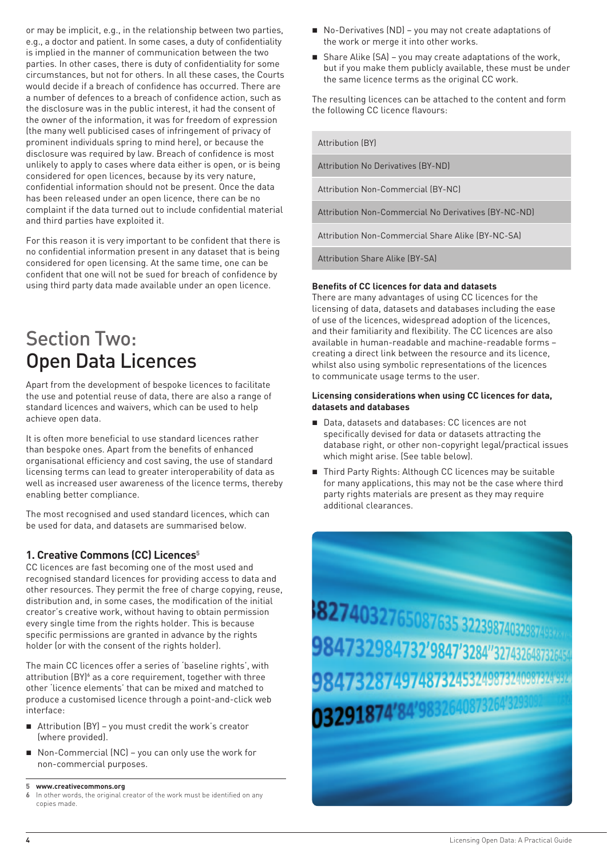or may be implicit, e.g., in the relationship between two parties, e.g., a doctor and patient. In some cases, a duty of confidentiality is implied in the manner of communication between the two parties. In other cases, there is duty of confidentiality for some circumstances, but not for others. In all these cases, the Courts would decide if a breach of confidence has occurred. There are a number of defences to a breach of confidence action, such as the disclosure was in the public interest, it had the consent of the owner of the information, it was for freedom of expression (the many well publicised cases of infringement of privacy of prominent individuals spring to mind here), or because the disclosure was required by law. Breach of confidence is most unlikely to apply to cases where data either is open, or is being considered for open licences, because by its very nature, confidential information should not be present. Once the data has been released under an open licence, there can be no complaint if the data turned out to include confidential material and third parties have exploited it.

For this reason it is very important to be confident that there is no confidential information present in any dataset that is being considered for open licensing. At the same time, one can be confident that one will not be sued for breach of confidence by using third party data made available under an open licence.

# Section Two: Open Data Licences

Apart from the development of bespoke licences to facilitate the use and potential reuse of data, there are also a range of standard licences and waivers, which can be used to help achieve open data.

It is often more beneficial to use standard licences rather than bespoke ones. Apart from the benefits of enhanced organisational efficiency and cost saving, the use of standard licensing terms can lead to greater interoperability of data as well as increased user awareness of the licence terms, thereby enabling better compliance.

The most recognised and used standard licences, which can be used for data, and datasets are summarised below.

## **1. Creative Commons (CC) Licences5**

CC licences are fast becoming one of the most used and recognised standard licences for providing access to data and other resources. They permit the free of charge copying, reuse, distribution and, in some cases, the modification of the initial creator's creative work, without having to obtain permission every single time from the rights holder. This is because specific permissions are granted in advance by the rights holder (or with the consent of the rights holder).

The main CC licences offer a series of 'baseline rights', with attribution (BY)<sup>6</sup> as a core requirement, together with three other 'licence elements' that can be mixed and matched to produce a customised licence through a point-and-click web interface:

- Attribution (BY) you must credit the work's creator (where provided).
- Non-Commercial (NC) you can only use the work for non-commercial purposes.

#### **5 <www.creativecommons.org>**

In other words, the original creator of the work must be identified on any copies made.

- No-Derivatives (ND) you may not create adaptations of the work or merge it into other works.
- Share Alike  $(SA)$  you may create adaptations of the work, but if you make them publicly available, these must be under the same licence terms as the original CC work.

The resulting licences can be attached to the content and form the following CC licence flavours:

| <b>Attribution (BY)</b>                              |
|------------------------------------------------------|
| <b>Attribution No Derivatives (BY-ND)</b>            |
| Attribution Non-Commercial (BY-NC)                   |
| Attribution Non-Commercial No Derivatives (BY-NC-ND) |
| Attribution Non-Commercial Share Alike (BY-NC-SA)    |
| <b>Attribution Share Alike (BY-SA)</b>               |

#### **Benefits of CC licences for data and datasets**

There are many advantages of using CC licences for the licensing of data, datasets and databases including the ease of use of the licences, widespread adoption of the licences, and their familiarity and flexibility. The CC licences are also available in human-readable and machine-readable forms – creating a direct link between the resource and its licence, whilst also using symbolic representations of the licences to communicate usage terms to the user.

#### **Licensing considerations when using CC licences for data, datasets and databases**

- Data, datasets and databases: CC licences are not specifically devised for data or datasets attracting the database right, or other non-copyright legal/practical issues which might arise. (See table below).
- Third Party Rights: Although CC licences may be suitable for many applications, this may not be the case where third party rights materials are present as they may require additional clearances.

8274032765087635322398740329874937 984732984732'9847'3284"327432648732645 9847328749748732453249873240987324952 03291874'84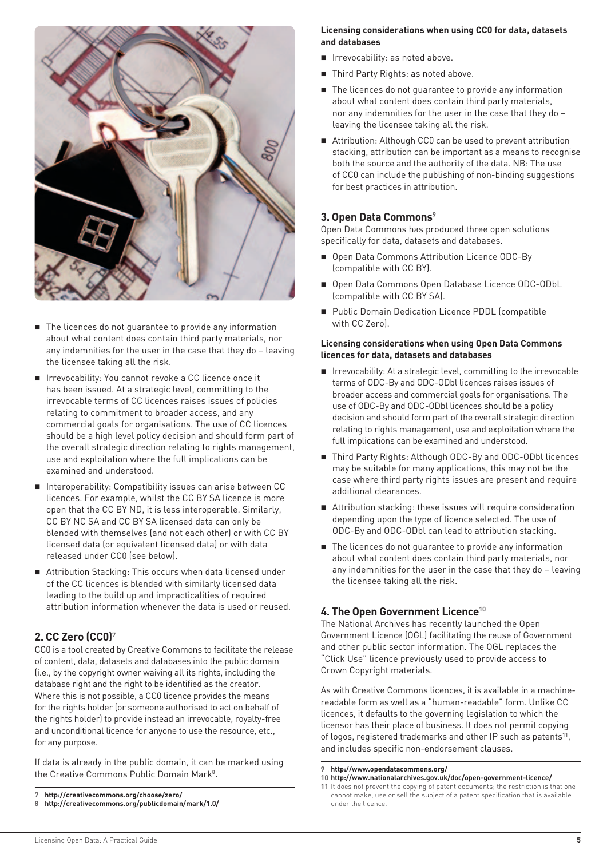

- The licences do not quarantee to provide any information about what content does contain third party materials, nor any indemnities for the user in the case that they do – leaving the licensee taking all the risk.
- Irrevocability: You cannot revoke a CC licence once it has been issued. At a strategic level, committing to the irrevocable terms of CC licences raises issues of policies relating to commitment to broader access, and any commercial goals for organisations. The use of CC licences should be a high level policy decision and should form part of the overall strategic direction relating to rights management, use and exploitation where the full implications can be examined and understood.
- Interoperability: Compatibility issues can arise between CC licences. For example, whilst the CC BY SA licence is more open that the CC BY ND, it is less interoperable. Similarly, CC BY NC SA and CC BY SA licensed data can only be blended with themselves (and not each other) or with CC BY licensed data (or equivalent licensed data) or with data released under CC0 (see below).
- Attribution Stacking: This occurs when data licensed under of the CC licences is blended with similarly licensed data leading to the build up and impracticalities of required attribution information whenever the data is used or reused.

## **2. CC Zero (CC0)7**

CC0 is a tool created by Creative Commons to facilitate the release of content, data, datasets and databases into the public domain (i.e., by the copyright owner waiving all its rights, including the database right and the right to be identified as the creator. Where this is not possible, a CC0 licence provides the means for the rights holder (or someone authorised to act on behalf of the rights holder) to provide instead an irrevocable, royalty-free and unconditional licence for anyone to use the resource, etc., for any purpose.

If data is already in the public domain, it can be marked using the Creative Commons Public Domain Mark**<sup>8</sup>** .

- **7 <http://creativecommons.org/choose/zero/>**
- **8 <http://creativecommons.org/publicdomain/mark/1.0/>**

### **Licensing considerations when using CC0 for data, datasets and databases**

- Irrevocability: as noted above.
- Third Party Rights: as noted above.
- The licences do not guarantee to provide any information about what content does contain third party materials, nor any indemnities for the user in the case that they do – leaving the licensee taking all the risk.
- Attribution: Although CC0 can be used to prevent attribution stacking, attribution can be important as a means to recognise both the source and the authority of the data. NB: The use of CC0 can include the publishing of non-binding suggestions for best practices in attribution.

## **3. Open Data Commons<sup>9</sup>**

Open Data Commons has produced three open solutions specifically for data, datasets and databases.

- Open Data Commons Attribution Licence ODC-By (compatible with CC BY).
- Open Data Commons Open Database Licence ODC-ODbL (compatible with CC BY SA).
- **Public Domain Dedication Licence PDDL (compatible** with CC Zero).

#### **Licensing considerations when using Open Data Commons licences for data, datasets and databases**

- Irrevocability: At a strategic level, committing to the irrevocable terms of ODC-By and ODC-ODbl licences raises issues of broader access and commercial goals for organisations. The use of ODC-By and ODC-ODbl licences should be a policy decision and should form part of the overall strategic direction relating to rights management, use and exploitation where the full implications can be examined and understood.
- Third Party Rights: Although ODC-By and ODC-ODbl licences may be suitable for many applications, this may not be the case where third party rights issues are present and require additional clearances.
- Attribution stacking: these issues will require consideration depending upon the type of licence selected. The use of ODC-By and ODC-ODbl can lead to attribution stacking.
- The licences do not guarantee to provide any information about what content does contain third party materials, nor any indemnities for the user in the case that they do – leaving the licensee taking all the risk.

## **4. The Open Government Licence10**

The National Archives has recently launched the Open Government Licence (OGL) facilitating the reuse of Government and other public sector information. The OGL replaces the "Click Use" licence previously used to provide access to Crown Copyright materials.

As with Creative Commons licences, it is available in a machinereadable form as well as a "human-readable" form. Unlike CC licences, it defaults to the governing legislation to which the licensor has their place of business. It does not permit copying of logos, registered trademarks and other IP such as patents**<sup>11</sup>**, and includes specific non-endorsement clauses.

**10 <http://www.nationalarchives.gov.uk/doc/open-government-licence/>**

**<sup>9</sup> <http://www.opendatacommons.org/>**

**<sup>11</sup>** It does not prevent the copying of patent documents; the restriction is that one cannot make, use or sell the subject of a patent specification that is available under the licence.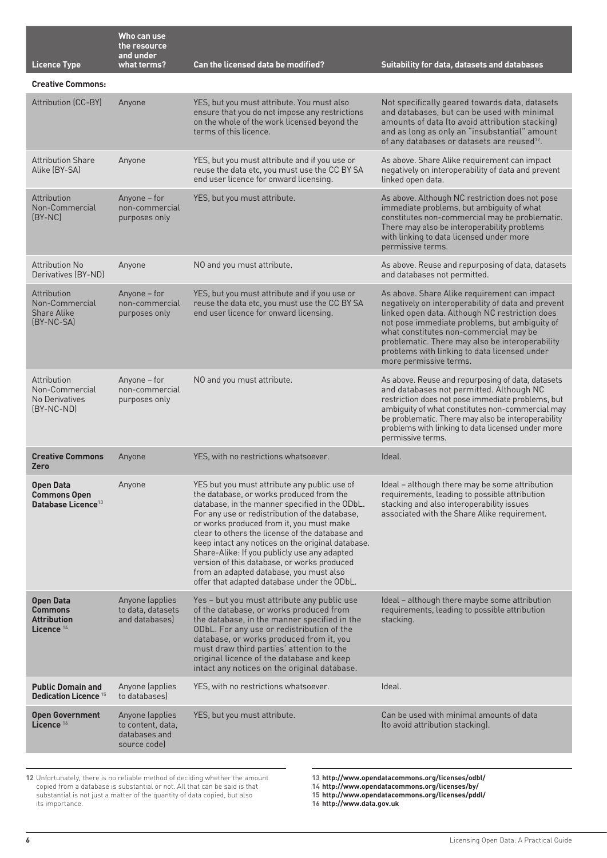| <b>Licence Type</b>                                                               | Who can use<br>the resource<br>and under<br>what terms?               | Can the licensed data be modified?                                                                                                                                                                                                                                                                                                                                                                                                                                                                                                        | Suitability for data, datasets and databases                                                                                                                                                                                                                                                                                                                                 |
|-----------------------------------------------------------------------------------|-----------------------------------------------------------------------|-------------------------------------------------------------------------------------------------------------------------------------------------------------------------------------------------------------------------------------------------------------------------------------------------------------------------------------------------------------------------------------------------------------------------------------------------------------------------------------------------------------------------------------------|------------------------------------------------------------------------------------------------------------------------------------------------------------------------------------------------------------------------------------------------------------------------------------------------------------------------------------------------------------------------------|
| <b>Creative Commons:</b>                                                          |                                                                       |                                                                                                                                                                                                                                                                                                                                                                                                                                                                                                                                           |                                                                                                                                                                                                                                                                                                                                                                              |
| <b>Attribution (CC-BY)</b>                                                        | Anyone                                                                | YES, but you must attribute. You must also<br>ensure that you do not impose any restrictions<br>on the whole of the work licensed beyond the<br>terms of this licence.                                                                                                                                                                                                                                                                                                                                                                    | Not specifically geared towards data, datasets<br>and databases, but can be used with minimal<br>amounts of data (to avoid attribution stacking)<br>and as long as only an "insubstantial" amount<br>of any databases or datasets are reused <sup>12</sup> .                                                                                                                 |
| <b>Attribution Share</b><br>Alike (BY-SA)                                         | Anyone                                                                | YES, but you must attribute and if you use or<br>reuse the data etc, you must use the CC BY SA<br>end user licence for onward licensing.                                                                                                                                                                                                                                                                                                                                                                                                  | As above. Share Alike requirement can impact<br>negatively on interoperability of data and prevent<br>linked open data.                                                                                                                                                                                                                                                      |
| Attribution<br>Non-Commercial<br>$(BY-NC)$                                        | Anyone - for<br>non-commercial<br>purposes only                       | YES, but you must attribute.                                                                                                                                                                                                                                                                                                                                                                                                                                                                                                              | As above. Although NC restriction does not pose<br>immediate problems, but ambiguity of what<br>constitutes non-commercial may be problematic.<br>There may also be interoperability problems<br>with linking to data licensed under more<br>permissive terms.                                                                                                               |
| <b>Attribution No</b><br>Derivatives (BY-ND)                                      | Anyone                                                                | NO and you must attribute.                                                                                                                                                                                                                                                                                                                                                                                                                                                                                                                | As above. Reuse and repurposing of data, datasets<br>and databases not permitted.                                                                                                                                                                                                                                                                                            |
| Attribution<br>Non-Commercial<br><b>Share Alike</b><br>[BY-NC-SA]                 | Anyone - for<br>non-commercial<br>purposes only                       | YES, but you must attribute and if you use or<br>reuse the data etc, you must use the CC BY SA<br>end user licence for onward licensing.                                                                                                                                                                                                                                                                                                                                                                                                  | As above. Share Alike requirement can impact<br>negatively on interoperability of data and prevent<br>linked open data. Although NC restriction does<br>not pose immediate problems, but ambiguity of<br>what constitutes non-commercial may be<br>problematic. There may also be interoperability<br>problems with linking to data licensed under<br>more permissive terms. |
| Attribution<br>Non-Commercial<br>No Derivatives<br>(BY-NC-ND)                     | Anyone - for<br>non-commercial<br>purposes only                       | NO and you must attribute.                                                                                                                                                                                                                                                                                                                                                                                                                                                                                                                | As above. Reuse and repurposing of data, datasets<br>and databases not permitted. Although NC<br>restriction does not pose immediate problems, but<br>ambiguity of what constitutes non-commercial may<br>be problematic. There may also be interoperability<br>problems with linking to data licensed under more<br>permissive terms.                                       |
| <b>Creative Commons</b><br>Zero                                                   | Anyone                                                                | YES, with no restrictions whatsoever.                                                                                                                                                                                                                                                                                                                                                                                                                                                                                                     | Ideal.                                                                                                                                                                                                                                                                                                                                                                       |
| <b>Open Data</b><br><b>Commons Open</b><br>Database Licence <sup>13</sup>         | Anyone                                                                | YES but you must attribute any public use of<br>the database, or works produced from the<br>database, in the manner specified in the ODbL.<br>For any use or redistribution of the database,<br>or works produced from it, you must make<br>clear to others the license of the database and<br>keep intact any notices on the original database.<br>Share-Alike: If you publicly use any adapted<br>version of this database, or works produced<br>from an adapted database, you must also<br>offer that adapted database under the ODbL. | Ideal - although there may be some attribution<br>requirements, leading to possible attribution<br>stacking and also interoperability issues<br>associated with the Share Alike requirement.                                                                                                                                                                                 |
| <b>Open Data</b><br><b>Commons</b><br><b>Attribution</b><br>Licence <sup>14</sup> | Anyone (applies<br>to data, datasets<br>and databases)                | Yes - but you must attribute any public use<br>of the database, or works produced from<br>the database, in the manner specified in the<br>ODbL. For any use or redistribution of the<br>database, or works produced from it, you<br>must draw third parties' attention to the<br>original licence of the database and keep<br>intact any notices on the original database.                                                                                                                                                                | Ideal - although there maybe some attribution<br>requirements, leading to possible attribution<br>stacking.                                                                                                                                                                                                                                                                  |
| <b>Public Domain and</b><br><b>Dedication Licence 15</b>                          | Anyone (applies<br>to databases)                                      | YES, with no restrictions whatsoever.                                                                                                                                                                                                                                                                                                                                                                                                                                                                                                     | Ideal.                                                                                                                                                                                                                                                                                                                                                                       |
| <b>Open Government</b><br>Licence <sup>16</sup>                                   | Anyone (applies<br>to content, data,<br>databases and<br>source code) | YES, but you must attribute.                                                                                                                                                                                                                                                                                                                                                                                                                                                                                                              | Can be used with minimal amounts of data<br>(to avoid attribution stacking).                                                                                                                                                                                                                                                                                                 |
|                                                                                   |                                                                       |                                                                                                                                                                                                                                                                                                                                                                                                                                                                                                                                           |                                                                                                                                                                                                                                                                                                                                                                              |

**12** Unfortunately, there is no reliable method of deciding whether the amount copied from a database is substantial or not. All that can be said is that substantial is not just a matter of the quantity of data copied, but also its importance.

**13 <http://www.opendatacommons.org/licenses/odbl/>**

**14 <http://www.opendatacommons.org/licenses/by/>**

**15 <http://www.opendatacommons.org/licenses/pddl/>**

**16 <http://www.data.gov.uk>**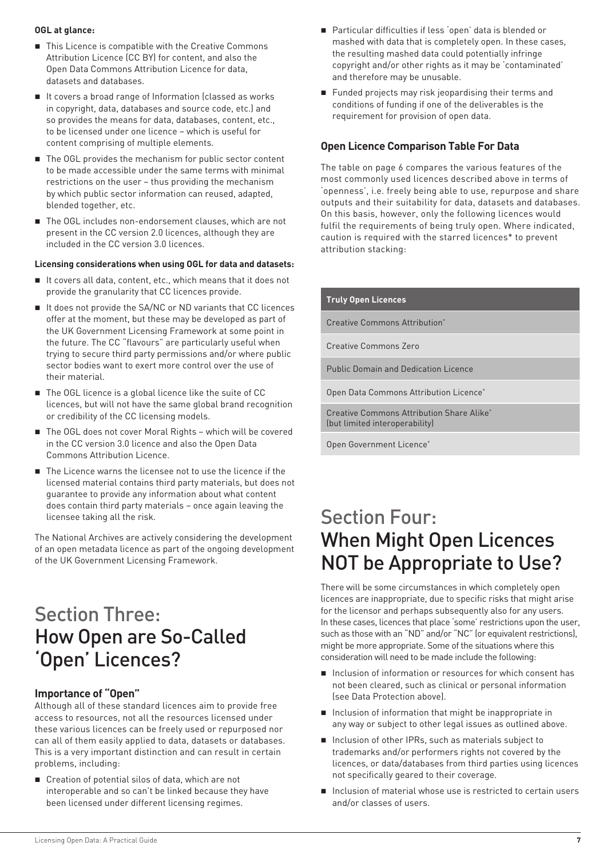#### **OGL at glance:**

- This Licence is compatible with the Creative Commons Attribution Licence (CC BY) for content, and also the Open Data Commons Attribution Licence for data, datasets and databases.
- It covers a broad range of Information (classed as works in copyright, data, databases and source code, etc.) and so provides the means for data, databases, content, etc., to be licensed under one licence – which is useful for content comprising of multiple elements.
- The OGL provides the mechanism for public sector content to be made accessible under the same terms with minimal restrictions on the user – thus providing the mechanism by which public sector information can reused, adapted, blended together, etc.
- The OGL includes non-endorsement clauses, which are not present in the CC version 2.0 licences, although they are included in the CC version 3.0 licences.

#### **Licensing considerations when using OGL for data and datasets:**

- It covers all data, content, etc., which means that it does not provide the granularity that CC licences provide.
- It does not provide the SA/NC or ND variants that CC licences offer at the moment, but these may be developed as part of the UK Government Licensing Framework at some point in the future. The CC "flavours" are particularly useful when trying to secure third party permissions and/or where public sector bodies want to exert more control over the use of their material.
- The OGL licence is a global licence like the suite of CC licences, but will not have the same global brand recognition or credibility of the CC licensing models.
- The OGL does not cover Moral Rights which will be covered in the CC version 3.0 licence and also the Open Data Commons Attribution Licence.
- The Licence warns the licensee not to use the licence if the licensed material contains third party materials, but does not guarantee to provide any information about what content does contain third party materials – once again leaving the licensee taking all the risk.

The National Archives are actively considering the development of an open metadata licence as part of the ongoing development of the UK Government Licensing Framework.

# Section Three: How Open are So-Called 'Open' Licences?

### **Importance of "Open"**

Although all of these standard licences aim to provide free access to resources, not all the resources licensed under these various licences can be freely used or repurposed nor can all of them easily applied to data, datasets or databases. This is a very important distinction and can result in certain problems, including:

■ Creation of potential silos of data, which are not interoperable and so can't be linked because they have been licensed under different licensing regimes.

- Particular difficulties if less 'open' data is blended or mashed with data that is completely open. In these cases, the resulting mashed data could potentially infringe copyright and/or other rights as it may be 'contaminated' and therefore may be unusable.
- Funded projects may risk jeopardising their terms and conditions of funding if one of the deliverables is the requirement for provision of open data.

## **Open Licence Comparison Table For Data**

The table on page 6 compares the various features of the most commonly used licences described above in terms of 'openness', i.e. freely being able to use, repurpose and share outputs and their suitability for data, datasets and databases. On this basis, however, only the following licences would fulfil the requirements of being truly open. Where indicated, caution is required with the starred licences\* to prevent attribution stacking:

#### **Truly Open Licences**

Creative Commons Attribution**\***

Creative Commons Zero

Public Domain and Dedication Licence

Open Data Commons Attribution Licence**\***

Creative Commons Attribution Share Alike**\*** (but limited interoperability)

Open Government Licence**\***

# Section Four: When Might Open Licences NOT be Appropriate to Use?

There will be some circumstances in which completely open licences are inappropriate, due to specific risks that might arise for the licensor and perhaps subsequently also for any users. In these cases, licences that place 'some' restrictions upon the user, such as those with an "ND" and/or "NC" (or equivalent restrictions), might be more appropriate. Some of the situations where this consideration will need to be made include the following:

- Inclusion of information or resources for which consent has not been cleared, such as clinical or personal information (see Data Protection above).
- $\blacksquare$  Inclusion of information that might be inappropriate in any way or subject to other legal issues as outlined above.
- Inclusion of other IPRs, such as materials subject to trademarks and/or performers rights not covered by the licences, or data/databases from third parties using licences not specifically geared to their coverage.
- Inclusion of material whose use is restricted to certain users and/or classes of users.